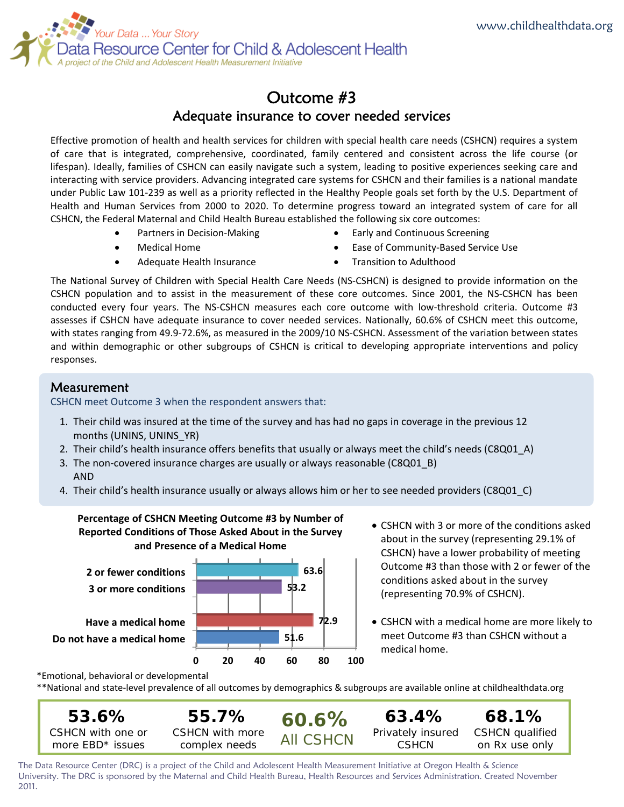

# Outcome #3 Adequate insurance to cover needed services

Effective promotion of health and health services for children with special health care needs (CSHCN) requires a system of care that is integrated, comprehensive, coordinated, family centered and consistent across the life course (or lifespan). Ideally, families of CSHCN can easily navigate such a system, leading to positive experiences seeking care and interacting with service providers. Advancing integrated care systems for CSHCN and their families is a national mandate under Public Law 101‐239 as well as a priority reflected in the Healthy People goals set forth by the U.S. Department of Health and Human Services from 2000 to 2020. To determine progress toward an integrated system of care for all CSHCN, the Federal Maternal and Child Health Bureau established the following six core outcomes:

- Partners in Decision‐Making
- Early and Continuous Screening

Medical Home

- Ease of Community‐Based Service Use
- Adequate Health Insurance
- Transition to Adulthood

The National Survey of Children with Special Health Care Needs (NS‐CSHCN) is designed to provide information on the CSHCN population and to assist in the measurement of these core outcomes. Since 2001, the NS‐CSHCN has been conducted every four years. The NS-CSHCN measures each core outcome with low-threshold criteria. Outcome #3 assesses if CSHCN have adequate insurance to cover needed services. Nationally, 60.6% of CSHCN meet this outcome, with states ranging from 49.9-72.6%, as measured in the 2009/10 NS-CSHCN. Assessment of the variation between states and within demographic or other subgroups of CSHCN is critical to developing appropriate interventions and policy responses.

# Measurement

CSHCN meet Outcome 3 when the respondent answers that:

- 1. Their child was insured at the time of the survey and has had no gaps in coverage in the previous 12 months (UNINS, UNINS\_YR)
- 2. Their child's health insurance offers benefits that usually or always meet the child's needs (C8Q01\_A)
- 3. The non-covered insurance charges are usually or always reasonable (C8Q01 B) AND
- 4. Their child's health insurance usually or always allows him or her to see needed providers (C8Q01\_C)



- CSHCN with 3 or more of the conditions asked about in the survey (representing 29.1% of CSHCN) have a lower probability of meeting Outcome #3 than those with 2 or fewer of the conditions asked about in the survey (representing 70.9% of CSHCN).
- CSHCN with a medical home are more likely to meet Outcome #3 than CSHCN without a medical home.

\*Emotional, behavioral or developmental

\*\*National and state‐level prevalence of all outcomes by demographics & subgroups are available online at childhealthdata.org

**68.1%**  CSHCN qualified on Rx use only **55.7%**  CSHCN with more complex needs **53.6%**  CSHCN with one or more EBD\* issues **60.6%** All CSHCN **63.4%**  Privately insured **CSHCN** 

The Data Resource Center (DRC) is a project of the Child and Adolescent Health Measurement Initiative at Oregon Health & Science University. The DRC is sponsored by the Maternal and Child Health Bureau, Health Resources and Services Administration. Created November 2011.